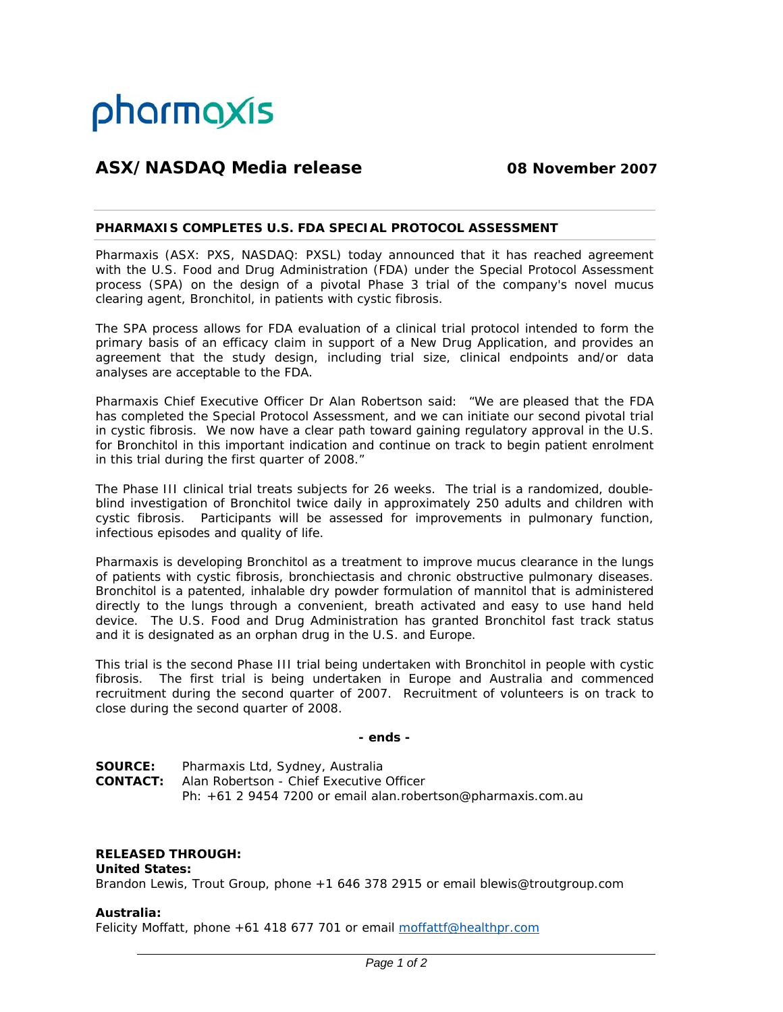

# **ASX/NASDAQ Media release 08 November 2007**

## **PHARMAXIS COMPLETES U.S. FDA SPECIAL PROTOCOL ASSESSMENT**

Pharmaxis (ASX: PXS, NASDAQ: PXSL) today announced that it has reached agreement with the U.S. Food and Drug Administration (FDA) under the Special Protocol Assessment process (SPA) on the design of a pivotal Phase 3 trial of the company's novel mucus clearing agent, Bronchitol, in patients with cystic fibrosis.

The SPA process allows for FDA evaluation of a clinical trial protocol intended to form the primary basis of an efficacy claim in support of a New Drug Application, and provides an agreement that the study design, including trial size, clinical endpoints and/or data analyses are acceptable to the FDA.

Pharmaxis Chief Executive Officer Dr Alan Robertson said: "We are pleased that the FDA has completed the Special Protocol Assessment, and we can initiate our second pivotal trial in cystic fibrosis. We now have a clear path toward gaining regulatory approval in the U.S. for Bronchitol in this important indication and continue on track to begin patient enrolment in this trial during the first quarter of 2008."

The Phase III clinical trial treats subjects for 26 weeks. The trial is a randomized, doubleblind investigation of Bronchitol twice daily in approximately 250 adults and children with cystic fibrosis. Participants will be assessed for improvements in pulmonary function, infectious episodes and quality of life.

Pharmaxis is developing Bronchitol as a treatment to improve mucus clearance in the lungs of patients with cystic fibrosis, bronchiectasis and chronic obstructive pulmonary diseases. Bronchitol is a patented, inhalable dry powder formulation of mannitol that is administered directly to the lungs through a convenient, breath activated and easy to use hand held device. The U.S. Food and Drug Administration has granted Bronchitol fast track status and it is designated as an orphan drug in the U.S. and Europe.

This trial is the second Phase III trial being undertaken with Bronchitol in people with cystic fibrosis. The first trial is being undertaken in Europe and Australia and commenced recruitment during the second quarter of 2007. Recruitment of volunteers is on track to close during the second quarter of 2008.

# *- ends -*

**SOURCE:** Pharmaxis Ltd, Sydney, Australia **CONTACT:** Alan Robertson - Chief Executive Officer Ph: +61 2 9454 7200 or email alan.robertson@pharmaxis.com.au

# **RELEASED THROUGH:**

### **United States:**

Brandon Lewis, Trout Group, phone +1 646 378 2915 or email blewis@troutgroup.com

### **Australia:**

Felicity Moffatt, phone +61 418 677 701 or email moffattf@healthpr.com